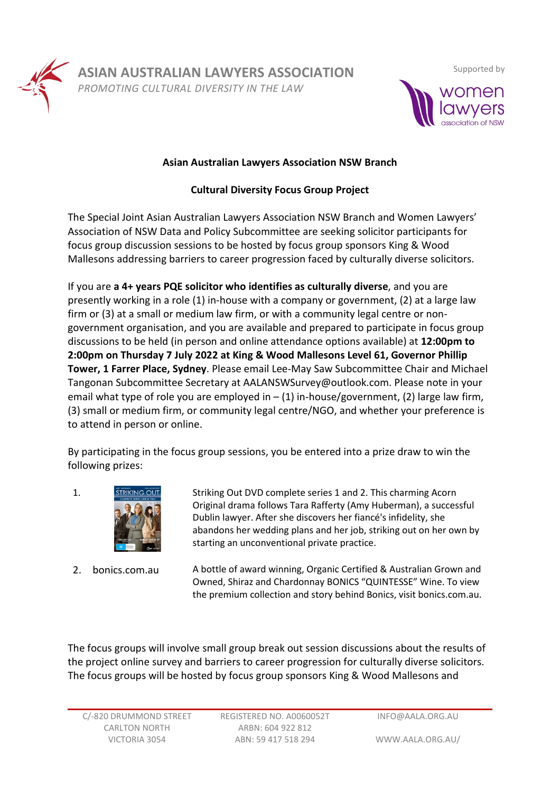

**ASIAN AUSTRALIAN LAWYERS ASSOCIATION**

*PROMOTING CULTURAL DIVERSITY IN THE LAW*



## **Asian Australian Lawyers Association NSW Branch**

## **Cultural Diversity Focus Group Project**

The Special Joint Asian Australian Lawyers Association NSW Branch and Women Lawyers' Association of NSW Data and Policy Subcommittee are seeking solicitor participants for focus group discussion sessions to be hosted by focus group sponsors King & Wood Mallesons addressing barriers to career progression faced by culturally diverse solicitors.

If you are **a 4+ years PQE solicitor who identifies as culturally diverse**, and you are presently working in a role (1) in-house with a company or government, (2) at a large law firm or (3) at a small or medium law firm, or with a community legal centre or nongovernment organisation, and you are available and prepared to participate in focus group discussions to be held (in person and online attendance options available) at **12:00pm to 2:00pm on Thursday 7 July 2022 at King & Wood Mallesons Level 61, Governor Phillip Tower, 1 Farrer Place, Sydney**. Please email Lee-May Saw Subcommittee Chair and Michael Tangonan Subcommittee Secretary at AALANSWSurvey@outlook.com. Please note in your email what type of role you are employed in  $- (1)$  in-house/government, (2) large law firm, (3) small or medium firm, or community legal centre/NGO, and whether your preference is to attend in person or online.

By participating in the focus group sessions, you be entered into a prize draw to win the following prizes:



1. STRIKING OUT Striking Out DVD complete series 1 and 2. This charming Acorn Original drama follows Tara Rafferty (Amy Huberman), a successful Dublin lawyer. After she discovers her fiancé's infidelity, she abandons her wedding plans and her job, striking out on her own by starting an unconventional private practice.

2. bonics.com.au A bottle of award winning, Organic Certified & Australian Grown and Owned, Shiraz and Chardonnay BONICS "QUINTESSE" Wine. To view the premium collection and story behind Bonics, visit bonics.com.au.

The focus groups will involve small group break out session discussions about the results of the project online survey and barriers to career progression for culturally diverse solicitors. The focus groups will be hosted by focus group sponsors King & Wood Mallesons and

WWW.AALA.ORG.AU/